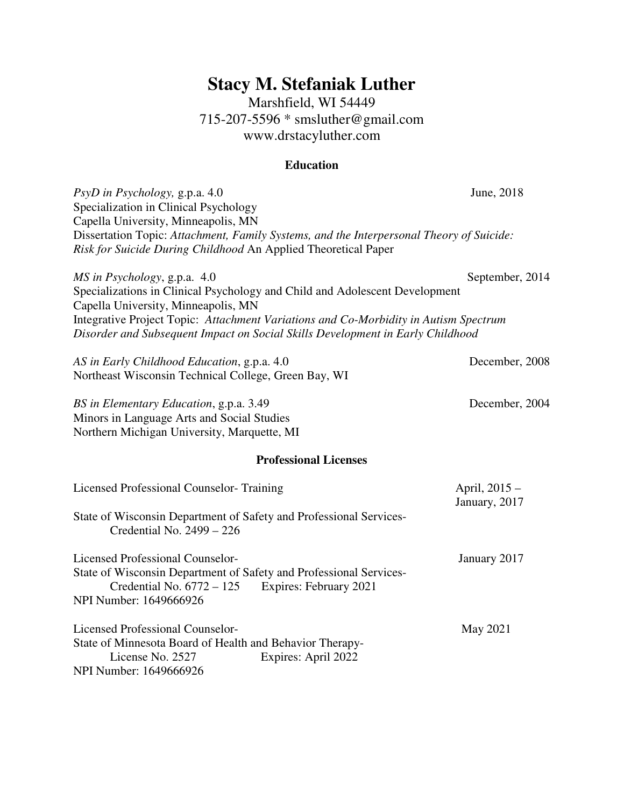# **Stacy M. Stefaniak Luther**

Marshfield, WI 54449 715-207-5596 \* smsluther@gmail.com www.drstacyluther.com

## **Education**

| PsyD in Psychology, g.p.a. 4.0<br>Specialization in Clinical Psychology<br>Capella University, Minneapolis, MN                                                                                   | June, 2018                     |  |  |
|--------------------------------------------------------------------------------------------------------------------------------------------------------------------------------------------------|--------------------------------|--|--|
| Dissertation Topic: Attachment, Family Systems, and the Interpersonal Theory of Suicide:<br>Risk for Suicide During Childhood An Applied Theoretical Paper                                       |                                |  |  |
| MS in Psychology, g.p.a. 4.0<br>Specializations in Clinical Psychology and Child and Adolescent Development<br>Capella University, Minneapolis, MN                                               | September, 2014                |  |  |
| Integrative Project Topic: Attachment Variations and Co-Morbidity in Autism Spectrum<br>Disorder and Subsequent Impact on Social Skills Development in Early Childhood                           |                                |  |  |
| AS in Early Childhood Education, g.p.a. 4.0<br>Northeast Wisconsin Technical College, Green Bay, WI                                                                                              | December, 2008                 |  |  |
| BS in Elementary Education, g.p.a. 3.49<br>Minors in Language Arts and Social Studies<br>Northern Michigan University, Marquette, MI                                                             | December, 2004                 |  |  |
| <b>Professional Licenses</b>                                                                                                                                                                     |                                |  |  |
| Licensed Professional Counselor-Training                                                                                                                                                         | April, 2015 -<br>January, 2017 |  |  |
| State of Wisconsin Department of Safety and Professional Services-<br>Credential No. 2499 - 226                                                                                                  |                                |  |  |
| <b>Licensed Professional Counselor-</b><br>State of Wisconsin Department of Safety and Professional Services-<br>Credential No. $6772 - 125$<br>Expires: February 2021<br>NPI Number: 1649666926 | January 2017                   |  |  |
| <b>Licensed Professional Counselor-</b><br>State of Minnesota Board of Health and Behavior Therapy-<br>License No. 2527<br>Expires: April 2022<br>NPI Number: 1649666926                         | May 2021                       |  |  |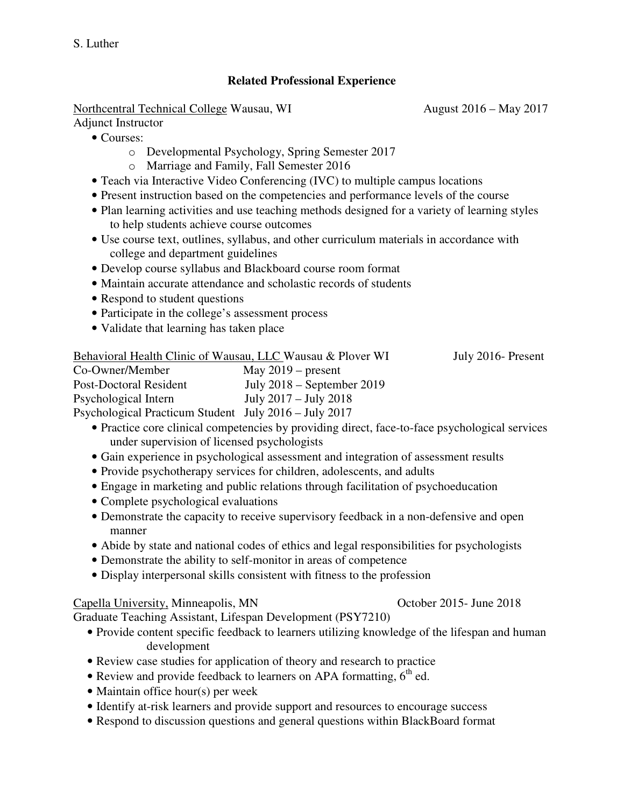## **Related Professional Experience**

Northcentral Technical College Wausau, WI August 2016 – May 2017

Adjunct Instructor

- Courses:
	- o Developmental Psychology, Spring Semester 2017
	- o Marriage and Family, Fall Semester 2016
- Teach via Interactive Video Conferencing (IVC) to multiple campus locations
- Present instruction based on the competencies and performance levels of the course
- Plan learning activities and use teaching methods designed for a variety of learning styles to help students achieve course outcomes
- Use course text, outlines, syllabus, and other curriculum materials in accordance with college and department guidelines
- Develop course syllabus and Blackboard course room format
- Maintain accurate attendance and scholastic records of students
- Respond to student questions
- Participate in the college's assessment process
- Validate that learning has taken place

| Behavioral Health Clinic of Wausau, LLC Wausau & Plover WI |                              | July 2016- Present |
|------------------------------------------------------------|------------------------------|--------------------|
| Co-Owner/Member                                            | May $2019$ – present         |                    |
| Post-Doctoral Resident                                     | July $2018$ – September 2019 |                    |
| Psychological Intern                                       | July $2017 -$ July $2018$    |                    |
| Psychological Practicum Student July 2016 – July 2017      |                              |                    |

- Practice core clinical competencies by providing direct, face-to-face psychological services under supervision of licensed psychologists
- Gain experience in psychological assessment and integration of assessment results
- Provide psychotherapy services for children, adolescents, and adults
- Engage in marketing and public relations through facilitation of psychoeducation
- Complete psychological evaluations
- Demonstrate the capacity to receive supervisory feedback in a non-defensive and open manner
- Abide by state and national codes of ethics and legal responsibilities for psychologists
- Demonstrate the ability to self-monitor in areas of competence
- Display interpersonal skills consistent with fitness to the profession

## Capella University, Minneapolis, MN October 2015- June 2018

Graduate Teaching Assistant, Lifespan Development (PSY7210)

- Provide content specific feedback to learners utilizing knowledge of the lifespan and human development
- Review case studies for application of theory and research to practice
- Review and provide feedback to learners on APA formatting,  $6<sup>th</sup>$  ed.
- Maintain office hour(s) per week
- Identify at-risk learners and provide support and resources to encourage success
- Respond to discussion questions and general questions within BlackBoard format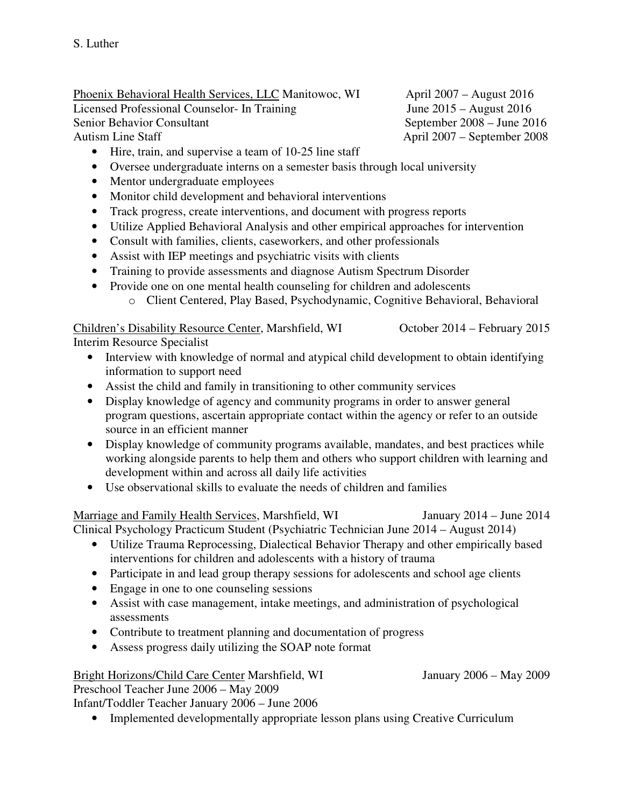Phoenix Behavioral Health Services, LLC Manitowoc, WI April 2007 – August 2016 Licensed Professional Counselor- In Training June 2015 – August 2016 Senior Behavior Consultant September 2008 – June 2016 Autism Line Staff April 2007 – September 2008

- Hire, train, and supervise a team of 10-25 line staff
- Oversee undergraduate interns on a semester basis through local university
- Mentor undergraduate employees
- Monitor child development and behavioral interventions
- Track progress, create interventions, and document with progress reports
- Utilize Applied Behavioral Analysis and other empirical approaches for intervention
- Consult with families, clients, caseworkers, and other professionals
- Assist with IEP meetings and psychiatric visits with clients
- Training to provide assessments and diagnose Autism Spectrum Disorder
- Provide one on one mental health counseling for children and adolescents
	- o Client Centered, Play Based, Psychodynamic, Cognitive Behavioral, Behavioral

## Children's Disability Resource Center, Marshfield, WI October 2014 – February 2015

Interim Resource Specialist

- Interview with knowledge of normal and atypical child development to obtain identifying information to support need
- Assist the child and family in transitioning to other community services
- Display knowledge of agency and community programs in order to answer general program questions, ascertain appropriate contact within the agency or refer to an outside source in an efficient manner
- Display knowledge of community programs available, mandates, and best practices while working alongside parents to help them and others who support children with learning and development within and across all daily life activities
- Use observational skills to evaluate the needs of children and families

Marriage and Family Health Services, Marshfield, WI January 2014 – June 2014 Clinical Psychology Practicum Student (Psychiatric Technician June 2014 – August 2014)

- Utilize Trauma Reprocessing, Dialectical Behavior Therapy and other empirically based interventions for children and adolescents with a history of trauma
- Participate in and lead group therapy sessions for adolescents and school age clients
- Engage in one to one counseling sessions
- Assist with case management, intake meetings, and administration of psychological assessments
- Contribute to treatment planning and documentation of progress
- Assess progress daily utilizing the SOAP note format

## Bright Horizons/Child Care Center Marshfield, WI January 2006 – May 2009

Preschool Teacher June 2006 – May 2009

Infant/Toddler Teacher January 2006 – June 2006

• Implemented developmentally appropriate lesson plans using Creative Curriculum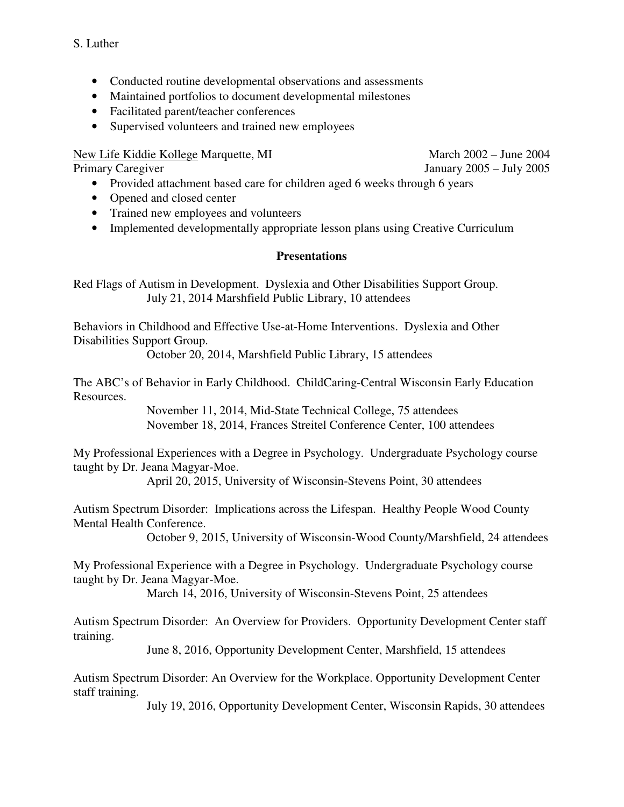- Conducted routine developmental observations and assessments
- Maintained portfolios to document developmental milestones
- Facilitated parent/teacher conferences
- Supervised volunteers and trained new employees

New Life Kiddie Kollege Marquette, MI March 2002 – June 2004

Primary Caregiver January 2005 – July 2005

- Provided attachment based care for children aged 6 weeks through 6 years
- Opened and closed center
- Trained new employees and volunteers
- Implemented developmentally appropriate lesson plans using Creative Curriculum

### **Presentations**

Red Flags of Autism in Development. Dyslexia and Other Disabilities Support Group. July 21, 2014 Marshfield Public Library, 10 attendees

Behaviors in Childhood and Effective Use-at-Home Interventions. Dyslexia and Other Disabilities Support Group.

October 20, 2014, Marshfield Public Library, 15 attendees

The ABC's of Behavior in Early Childhood. ChildCaring-Central Wisconsin Early Education Resources.

> November 11, 2014, Mid-State Technical College, 75 attendees November 18, 2014, Frances Streitel Conference Center, 100 attendees

My Professional Experiences with a Degree in Psychology. Undergraduate Psychology course taught by Dr. Jeana Magyar-Moe.

April 20, 2015, University of Wisconsin-Stevens Point, 30 attendees

Autism Spectrum Disorder: Implications across the Lifespan. Healthy People Wood County Mental Health Conference.

October 9, 2015, University of Wisconsin-Wood County/Marshfield, 24 attendees

My Professional Experience with a Degree in Psychology. Undergraduate Psychology course taught by Dr. Jeana Magyar-Moe.

March 14, 2016, University of Wisconsin-Stevens Point, 25 attendees

Autism Spectrum Disorder: An Overview for Providers. Opportunity Development Center staff training.

June 8, 2016, Opportunity Development Center, Marshfield, 15 attendees

Autism Spectrum Disorder: An Overview for the Workplace. Opportunity Development Center staff training.

July 19, 2016, Opportunity Development Center, Wisconsin Rapids, 30 attendees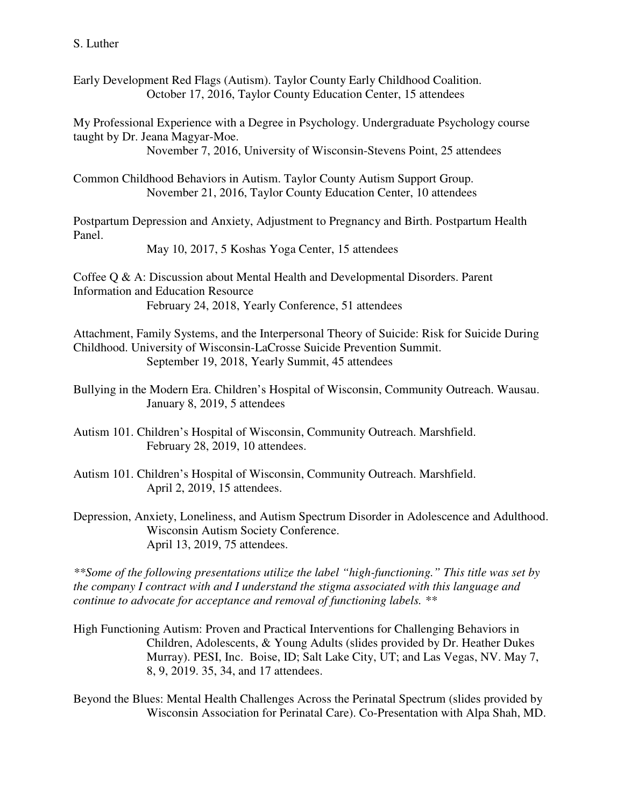Early Development Red Flags (Autism). Taylor County Early Childhood Coalition. October 17, 2016, Taylor County Education Center, 15 attendees

My Professional Experience with a Degree in Psychology. Undergraduate Psychology course taught by Dr. Jeana Magyar-Moe.

November 7, 2016, University of Wisconsin-Stevens Point, 25 attendees

Common Childhood Behaviors in Autism. Taylor County Autism Support Group. November 21, 2016, Taylor County Education Center, 10 attendees

Postpartum Depression and Anxiety, Adjustment to Pregnancy and Birth. Postpartum Health Panel.

May 10, 2017, 5 Koshas Yoga Center, 15 attendees

Coffee Q & A: Discussion about Mental Health and Developmental Disorders. Parent Information and Education Resource February 24, 2018, Yearly Conference, 51 attendees

Attachment, Family Systems, and the Interpersonal Theory of Suicide: Risk for Suicide During Childhood. University of Wisconsin-LaCrosse Suicide Prevention Summit. September 19, 2018, Yearly Summit, 45 attendees

Bullying in the Modern Era. Children's Hospital of Wisconsin, Community Outreach. Wausau. January 8, 2019, 5 attendees

Autism 101. Children's Hospital of Wisconsin, Community Outreach. Marshfield. February 28, 2019, 10 attendees.

- Autism 101. Children's Hospital of Wisconsin, Community Outreach. Marshfield. April 2, 2019, 15 attendees.
- Depression, Anxiety, Loneliness, and Autism Spectrum Disorder in Adolescence and Adulthood. Wisconsin Autism Society Conference. April 13, 2019, 75 attendees.

*\*\*Some of the following presentations utilize the label "high-functioning." This title was set by the company I contract with and I understand the stigma associated with this language and continue to advocate for acceptance and removal of functioning labels. \*\** 

High Functioning Autism: Proven and Practical Interventions for Challenging Behaviors in Children, Adolescents, & Young Adults (slides provided by Dr. Heather Dukes Murray). PESI, Inc. Boise, ID; Salt Lake City, UT; and Las Vegas, NV. May 7, 8, 9, 2019. 35, 34, and 17 attendees.

Beyond the Blues: Mental Health Challenges Across the Perinatal Spectrum (slides provided by Wisconsin Association for Perinatal Care). Co-Presentation with Alpa Shah, MD.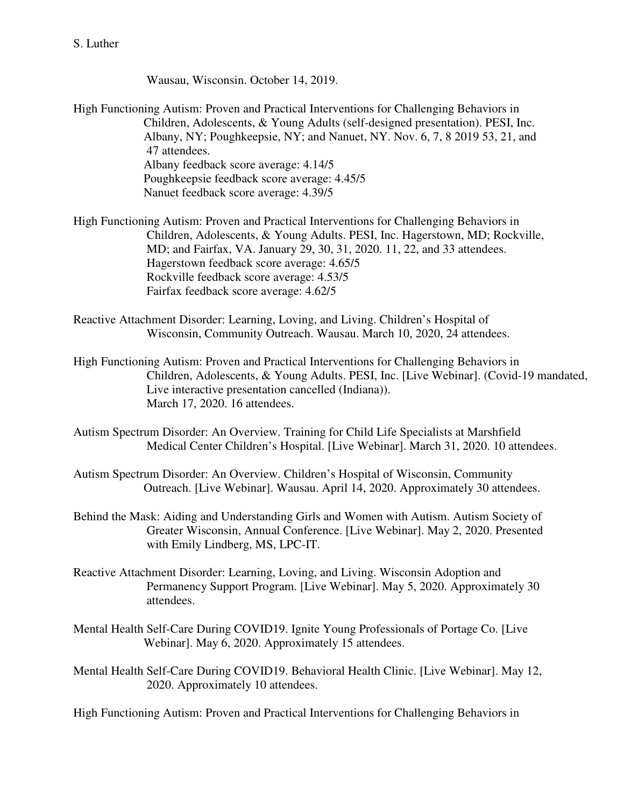Wausau, Wisconsin. October 14, 2019.

High Functioning Autism: Proven and Practical Interventions for Challenging Behaviors in Children, Adolescents, & Young Adults (self-designed presentation). PESI, Inc. Albany, NY; Poughkeepsie, NY; and Nanuet, NY. Nov. 6, 7, 8 2019 53, 21, and 47 attendees. Albany feedback score average: 4.14/5 Poughkeepsie feedback score average: 4.45/5 Nanuet feedback score average: 4.39/5

High Functioning Autism: Proven and Practical Interventions for Challenging Behaviors in Children, Adolescents, & Young Adults. PESI, Inc. Hagerstown, MD; Rockville, MD; and Fairfax, VA. January 29, 30, 31, 2020. 11, 22, and 33 attendees. Hagerstown feedback score average: 4.65/5 Rockville feedback score average: 4.53/5 Fairfax feedback score average: 4.62/5

- Reactive Attachment Disorder: Learning, Loving, and Living. Children's Hospital of Wisconsin, Community Outreach. Wausau. March 10, 2020, 24 attendees.
- High Functioning Autism: Proven and Practical Interventions for Challenging Behaviors in Children, Adolescents, & Young Adults. PESI, Inc. [Live Webinar]. (Covid-19 mandated, Live interactive presentation cancelled (Indiana)). March 17, 2020. 16 attendees.
- Autism Spectrum Disorder: An Overview. Training for Child Life Specialists at Marshfield Medical Center Children's Hospital. [Live Webinar]. March 31, 2020. 10 attendees.
- Autism Spectrum Disorder: An Overview. Children's Hospital of Wisconsin, Community Outreach. [Live Webinar]. Wausau. April 14, 2020. Approximately 30 attendees.
- Behind the Mask: Aiding and Understanding Girls and Women with Autism. Autism Society of Greater Wisconsin, Annual Conference. [Live Webinar]. May 2, 2020. Presented with Emily Lindberg, MS, LPC-IT.
- Reactive Attachment Disorder: Learning, Loving, and Living. Wisconsin Adoption and Permanency Support Program. [Live Webinar]. May 5, 2020. Approximately 30 attendees.
- Mental Health Self-Care During COVID19. Ignite Young Professionals of Portage Co. [Live Webinar]. May 6, 2020. Approximately 15 attendees.
- Mental Health Self-Care During COVID19. Behavioral Health Clinic. [Live Webinar]. May 12, 2020. Approximately 10 attendees.

High Functioning Autism: Proven and Practical Interventions for Challenging Behaviors in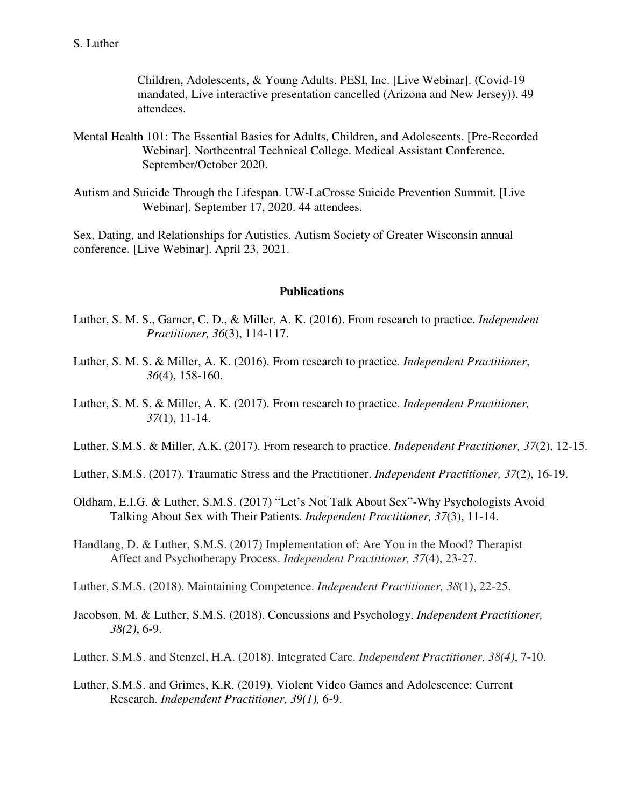#### S. Luther

 Children, Adolescents, & Young Adults. PESI, Inc. [Live Webinar]. (Covid-19 mandated, Live interactive presentation cancelled (Arizona and New Jersey)). 49 attendees.

- Mental Health 101: The Essential Basics for Adults, Children, and Adolescents. [Pre-Recorded Webinar]. Northcentral Technical College. Medical Assistant Conference. September/October 2020.
- Autism and Suicide Through the Lifespan. UW-LaCrosse Suicide Prevention Summit. [Live Webinar]. September 17, 2020. 44 attendees.

Sex, Dating, and Relationships for Autistics. Autism Society of Greater Wisconsin annual conference. [Live Webinar]. April 23, 2021.

#### **Publications**

- Luther, S. M. S., Garner, C. D., & Miller, A. K. (2016). From research to practice. *Independent Practitioner, 36*(3), 114-117.
- Luther, S. M. S. & Miller, A. K. (2016). From research to practice. *Independent Practitioner*, *36*(4), 158-160.
- Luther, S. M. S. & Miller, A. K. (2017). From research to practice. *Independent Practitioner, 37*(1), 11-14.
- Luther, S.M.S. & Miller, A.K. (2017). From research to practice. *Independent Practitioner, 37*(2), 12-15.
- Luther, S.M.S. (2017). Traumatic Stress and the Practitioner. *Independent Practitioner, 37*(2), 16-19.
- Oldham, E.I.G. & Luther, S.M.S. (2017) "Let's Not Talk About Sex"-Why Psychologists Avoid Talking About Sex with Their Patients. *Independent Practitioner, 37*(3), 11-14.
- Handlang, D. & Luther, S.M.S. (2017) Implementation of: Are You in the Mood? Therapist Affect and Psychotherapy Process. *Independent Practitioner, 37*(4), 23-27.
- Luther, S.M.S. (2018). Maintaining Competence. *Independent Practitioner, 38*(1), 22-25.
- Jacobson, M. & Luther, S.M.S. (2018). Concussions and Psychology. *Independent Practitioner, 38(2)*, 6-9.

Luther, S.M.S. and Stenzel, H.A. (2018). Integrated Care. *Independent Practitioner, 38(4)*, 7-10.

Luther, S.M.S. and Grimes, K.R. (2019). Violent Video Games and Adolescence: Current Research. *Independent Practitioner, 39(1),* 6-9.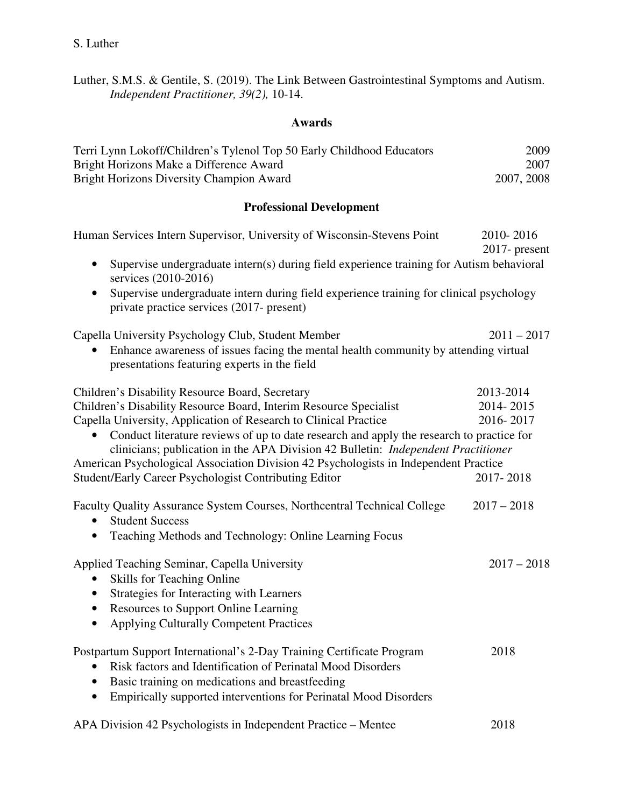Luther, S.M.S. & Gentile, S. (2019). The Link Between Gastrointestinal Symptoms and Autism. *Independent Practitioner, 39(2),* 10-14.

#### **Awards**

| Terri Lynn Lokoff/Children's Tylenol Top 50 Early Childhood Educators | 2009       |
|-----------------------------------------------------------------------|------------|
| Bright Horizons Make a Difference Award                               | 2007       |
| Bright Horizons Diversity Champion Award                              | 2007, 2008 |

## **Professional Development**

| Human Services Intern Supervisor, University of Wisconsin-Stevens Point                                                                                                              | 2010-2016<br>$2017$ - present |
|--------------------------------------------------------------------------------------------------------------------------------------------------------------------------------------|-------------------------------|
| Supervise undergraduate intern(s) during field experience training for Autism behavioral<br>$\bullet$<br>services (2010-2016)                                                        |                               |
| Supervise undergraduate intern during field experience training for clinical psychology<br>private practice services (2017- present)                                                 |                               |
| Capella University Psychology Club, Student Member                                                                                                                                   | $2011 - 2017$                 |
| Enhance awareness of issues facing the mental health community by attending virtual<br>presentations featuring experts in the field                                                  |                               |
| Children's Disability Resource Board, Secretary                                                                                                                                      | 2013-2014                     |
| Children's Disability Resource Board, Interim Resource Specialist                                                                                                                    | 2014-2015                     |
| Capella University, Application of Research to Clinical Practice                                                                                                                     | 2016-2017                     |
| Conduct literature reviews of up to date research and apply the research to practice for<br>clinicians; publication in the APA Division 42 Bulletin: <i>Independent Practitioner</i> |                               |
| American Psychological Association Division 42 Psychologists in Independent Practice                                                                                                 |                               |
| Student/Early Career Psychologist Contributing Editor                                                                                                                                | 2017-2018                     |
| Faculty Quality Assurance System Courses, Northcentral Technical College<br><b>Student Success</b>                                                                                   | $2017 - 2018$                 |
| Teaching Methods and Technology: Online Learning Focus<br>$\bullet$                                                                                                                  |                               |
| Applied Teaching Seminar, Capella University                                                                                                                                         | $2017 - 2018$                 |
| <b>Skills for Teaching Online</b><br>$\bullet$                                                                                                                                       |                               |
| Strategies for Interacting with Learners<br>٠                                                                                                                                        |                               |
| Resources to Support Online Learning<br>$\bullet$                                                                                                                                    |                               |
| <b>Applying Culturally Competent Practices</b><br>$\bullet$                                                                                                                          |                               |
| Postpartum Support International's 2-Day Training Certificate Program                                                                                                                | 2018                          |
| Risk factors and Identification of Perinatal Mood Disorders<br>$\bullet$                                                                                                             |                               |
| Basic training on medications and breastfeeding<br>$\bullet$                                                                                                                         |                               |
| Empirically supported interventions for Perinatal Mood Disorders<br>$\bullet$                                                                                                        |                               |
| APA Division 42 Psychologists in Independent Practice – Mentee                                                                                                                       | 2018                          |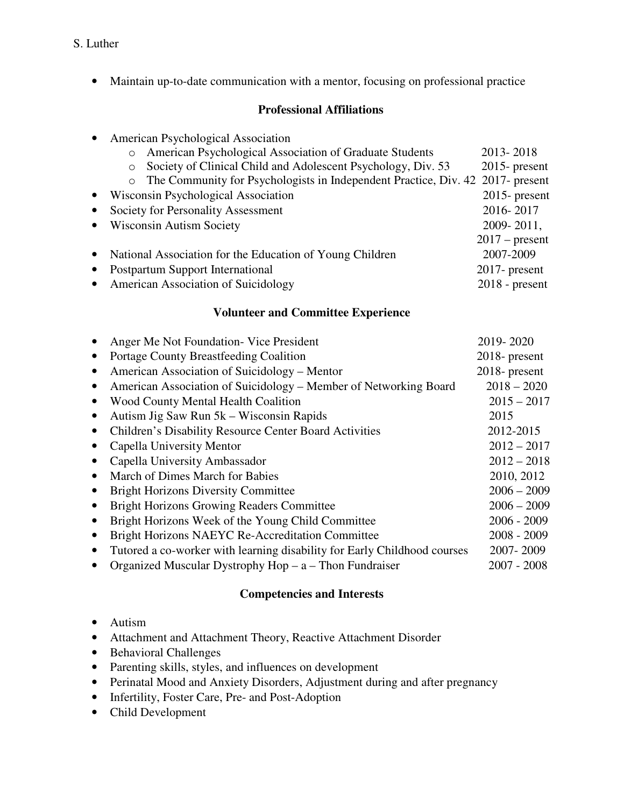### S. Luther

• Maintain up-to-date communication with a mentor, focusing on professional practice

## **Professional Affiliations**

|  | American Psychological Association |  |  |  |
|--|------------------------------------|--|--|--|
|--|------------------------------------|--|--|--|

| American Psychological Association of Graduate Students<br>$\Omega$                       | 2013-2018        |
|-------------------------------------------------------------------------------------------|------------------|
| Society of Clinical Child and Adolescent Psychology, Div. 53                              | $2015$ - present |
| The Community for Psychologists in Independent Practice, Div. 42 2017- present<br>$\circ$ |                  |
| Wisconsin Psychological Association                                                       | $2015$ - present |
| Society for Personality Assessment                                                        | 2016-2017        |
| <b>Wisconsin Autism Society</b>                                                           | 2009-2011,       |
|                                                                                           | $2017$ – present |
| National Association for the Education of Young Children                                  | 2007-2009        |
| Postpartum Support International                                                          | $2017$ - present |
| <b>American Association of Suicidology</b>                                                | $2018$ - present |

## **Volunteer and Committee Experience**

|           | Anger Me Not Foundation - Vice President                                 | 2019-2020        |
|-----------|--------------------------------------------------------------------------|------------------|
| $\bullet$ | <b>Portage County Breastfeeding Coalition</b>                            | 2018- present    |
| $\bullet$ | American Association of Suicidology – Mentor                             | $2018$ - present |
| $\bullet$ | American Association of Suicidology - Member of Networking Board         | $2018 - 2020$    |
|           | <b>Wood County Mental Health Coalition</b>                               | $2015 - 2017$    |
| $\bullet$ | Autism Jig Saw Run 5k – Wisconsin Rapids                                 | 2015             |
| $\bullet$ | <b>Children's Disability Resource Center Board Activities</b>            | 2012-2015        |
|           | Capella University Mentor                                                | $2012 - 2017$    |
| $\bullet$ | Capella University Ambassador                                            | $2012 - 2018$    |
| $\bullet$ | March of Dimes March for Babies                                          | 2010, 2012       |
| $\bullet$ | <b>Bright Horizons Diversity Committee</b>                               | $2006 - 2009$    |
| $\bullet$ | <b>Bright Horizons Growing Readers Committee</b>                         | $2006 - 2009$    |
| $\bullet$ | Bright Horizons Week of the Young Child Committee                        | $2006 - 2009$    |
| $\bullet$ | Bright Horizons NAEYC Re-Accreditation Committee                         | $2008 - 2009$    |
| $\bullet$ | Tutored a co-worker with learning disability for Early Childhood courses | 2007-2009        |
|           | Organized Muscular Dystrophy $Hop - a - Thom$ Fundraiser                 | $2007 - 2008$    |

## **Competencies and Interests**

- Autism
- Attachment and Attachment Theory, Reactive Attachment Disorder
- Behavioral Challenges
- Parenting skills, styles, and influences on development
- Perinatal Mood and Anxiety Disorders, Adjustment during and after pregnancy
- Infertility, Foster Care, Pre- and Post-Adoption
- Child Development